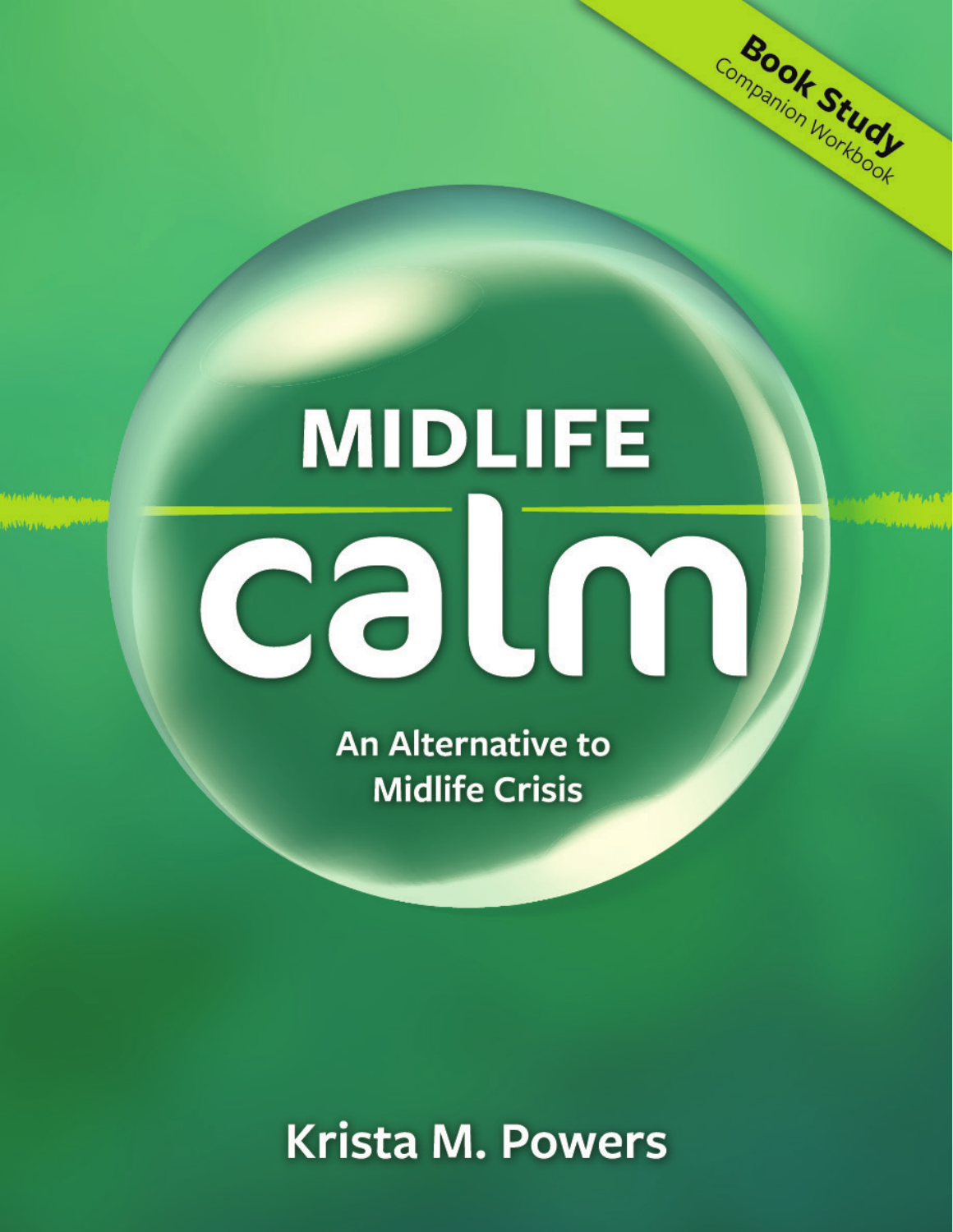# **MIDLIFE** calm

Companion Workbook

**An Alternative to Midlife Crisis** 

# **Krista M. Powers**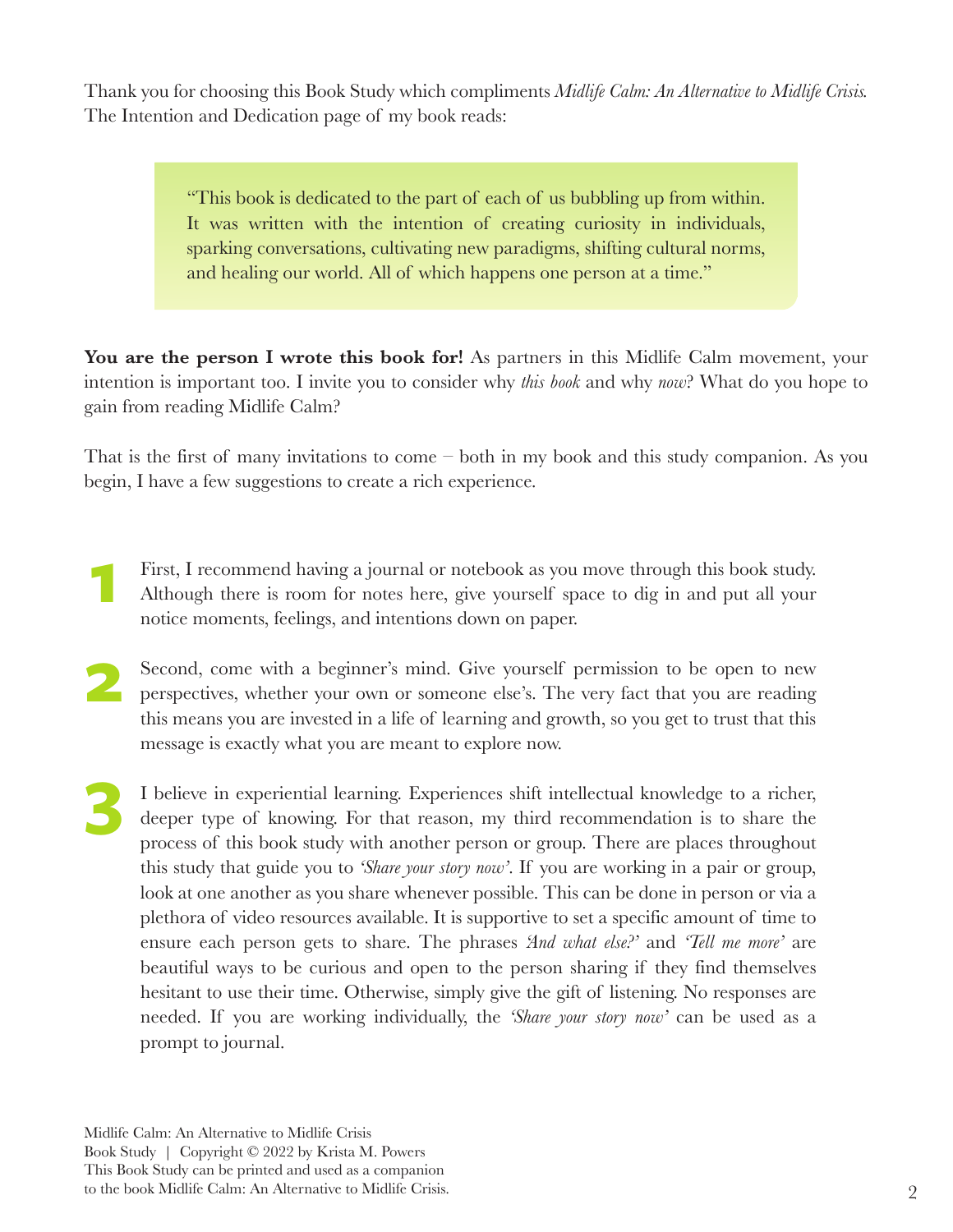Thank you for choosing this Book Study which compliments *Midlife Calm: An Alternative to Midlife Crisis.*  The Intention and Dedication page of my book reads:

> "This book is dedicated to the part of each of us bubbling up from within. It was written with the intention of creating curiosity in individuals, sparking conversations, cultivating new paradigms, shifting cultural norms, and healing our world. All of which happens one person at a time."

You are the person I wrote this book for! As partners in this Midlife Calm movement, your intention is important too. I invite you to consider why *this book* and why *now*? What do you hope to gain from reading Midlife Calm?

That is the first of many invitations to come – both in my book and this study companion. As you begin, I have a few suggestions to create a rich experience.

- First, I recommend having a journal or notebook as you move through this book study. Although there is room for notes here, give yourself space to dig in and put all your notice moments, feelings, and intentions down on paper. **1**
- Second, come with a beginner's mind. Give yourself permission to be open to new perspectives, whether your own or someone else's. The very fact that you are reading this means you are invested in a life of learning and growth, so you get to trust that this message is exactly what you are meant to explore now. **2**
- I believe in experiential learning. Experiences shift intellectual knowledge to a richer, deeper type of knowing. For that reason, my third recommendation is to share the process of this book study with another person or group. There are places throughout this study that guide you to *'Share your story now'*. If you are working in a pair or group, look at one another as you share whenever possible. This can be done in person or via a plethora of video resources available. It is supportive to set a specific amount of time to ensure each person gets to share. The phrases *'And what else?'* and *'Tell me more'* are beautiful ways to be curious and open to the person sharing if they find themselves hesitant to use their time. Otherwise, simply give the gift of listening. No responses are needed. If you are working individually, the *'Share your story now'* can be used as a prompt to journal. **3**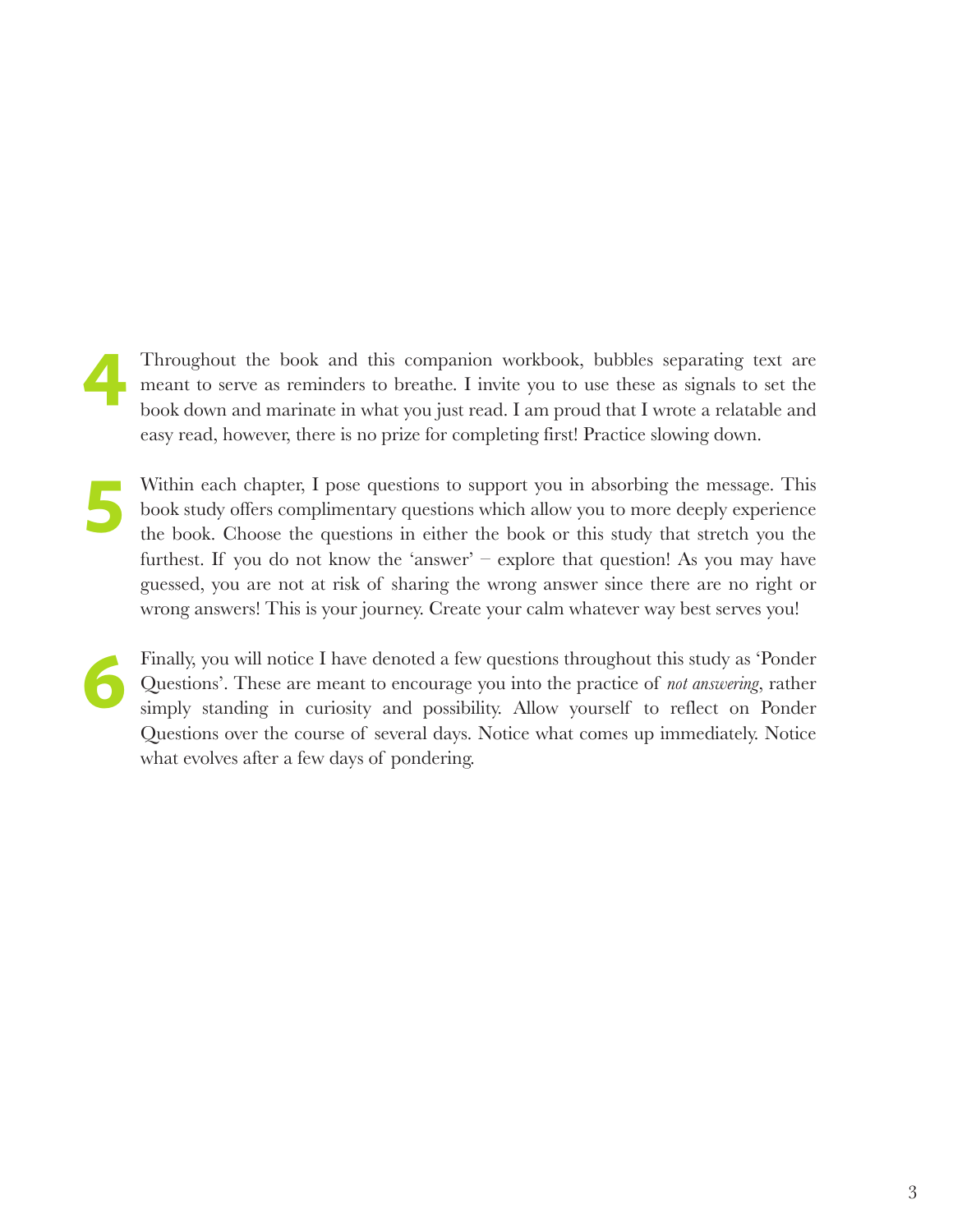- Throughout the book and this companion workbook, bubbles separating text are meant to serve as reminders to breathe. I invite you to use these as signals to set the book down and marinate in what you just read. I am proud that I wrote a relatable and easy read, however, there is no prize for completing first! Practice slowing down. **4**
- Within each chapter, I pose questions to support you in absorbing the message. This book study offers complimentary questions which allow you to more deeply experience the book. Choose the questions in either the book or this study that stretch you the furthest. If you do not know the 'answer' – explore that question! As you may have guessed, you are not at risk of sharing the wrong answer since there are no right or wrong answers! This is your journey. Create your calm whatever way best serves you! **5**
- Finally, you will notice I have denoted a few questions throughout this study as 'Ponder Questions'. These are meant to encourage you into the practice of *not answering*, rather simply standing in curiosity and possibility. Allow yourself to reflect on Ponder Questions over the course of several days. Notice what comes up immediately. Notice what evolves after a few days of pondering. **6**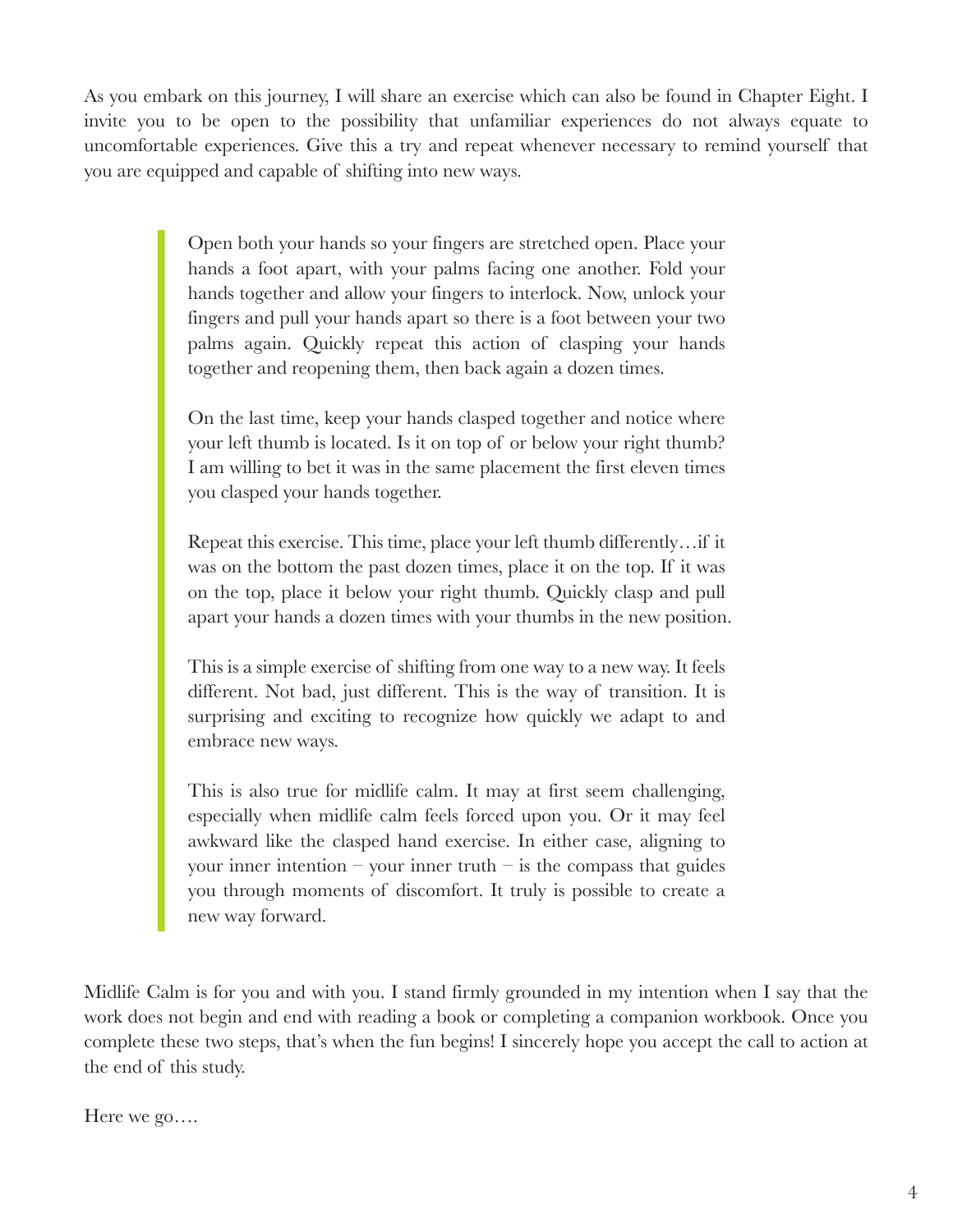As you embark on this journey, I will share an exercise which can also be found in Chapter Eight. I invite you to be open to the possibility that unfamiliar experiences do not always equate to uncomfortable experiences. Give this a try and repeat whenever necessary to remind yourself that you are equipped and capable of shifting into new ways.

> Open both your hands so your fingers are stretched open. Place your hands a foot apart, with your palms facing one another. Fold your hands together and allow your fingers to interlock. Now, unlock your fingers and pull your hands apart so there is a foot between your two palms again. Quickly repeat this action of clasping your hands together and reopening them, then back again a dozen times.

> On the last time, keep your hands clasped together and notice where your left thumb is located. Is it on top of or below your right thumb? I am willing to bet it was in the same placement the first eleven times you clasped your hands together.

> Repeat this exercise. This time, place your left thumb differently…if it was on the bottom the past dozen times, place it on the top. If it was on the top, place it below your right thumb. Quickly clasp and pull apart your hands a dozen times with your thumbs in the new position.

> This is a simple exercise of shifting from one way to a new way. It feels different. Not bad, just different. This is the way of transition. It is surprising and exciting to recognize how quickly we adapt to and embrace new ways.

> This is also true for midlife calm. It may at first seem challenging, especially when midlife calm feels forced upon you. Or it may feel awkward like the clasped hand exercise. In either case, aligning to your inner intention – your inner truth – is the compass that guides you through moments of discomfort. It truly is possible to create a new way forward.

Midlife Calm is for you and with you. I stand firmly grounded in my intention when I say that the work does not begin and end with reading a book or completing a companion workbook. Once you complete these two steps, that's when the fun begins! I sincerely hope you accept the call to action at the end of this study.

Here we go….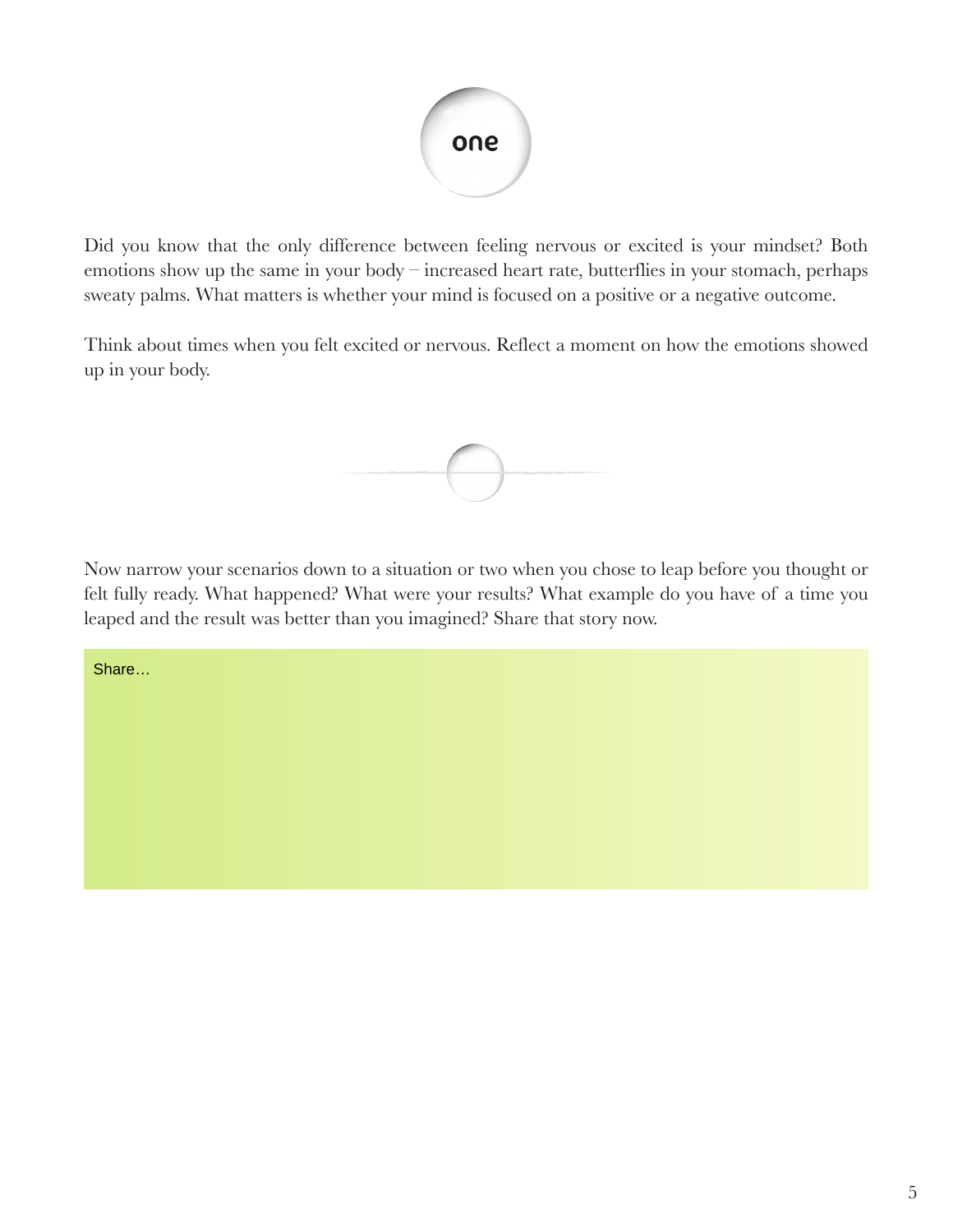

Did you know that the only difference between feeling nervous or excited is your mindset? Both emotions show up the same in your body – increased heart rate, butterflies in your stomach, perhaps sweaty palms. What matters is whether your mind is focused on a positive or a negative outcome.

Think about times when you felt excited or nervous. Reflect a moment on how the emotions showed up in your body.



Now narrow your scenarios down to a situation or two when you chose to leap before you thought or felt fully ready. What happened? What were your results? What example do you have of a time you leaped and the result was better than you imagined? Share that story now.

Share…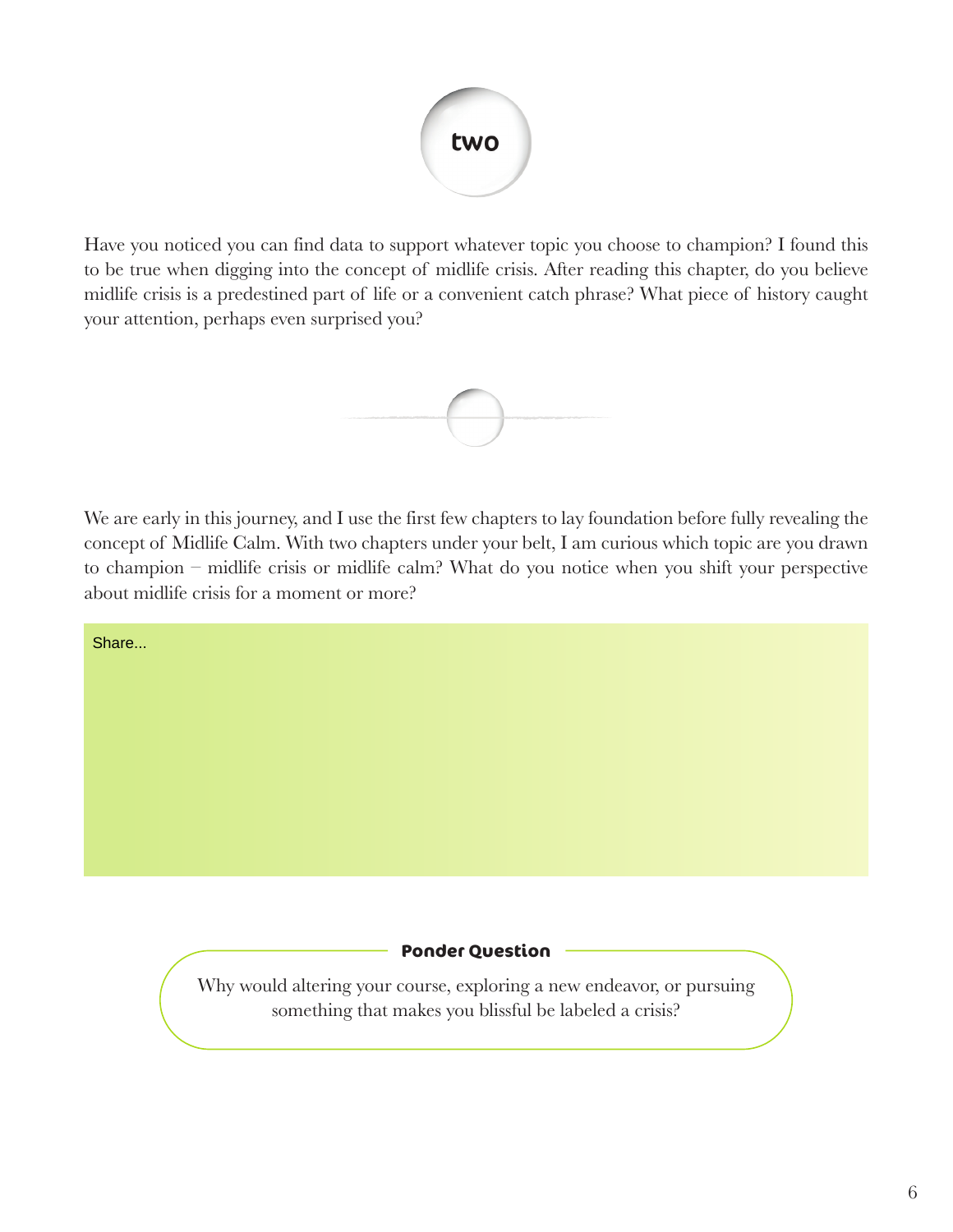

Have you noticed you can find data to support whatever topic you choose to champion? I found this to be true when digging into the concept of midlife crisis. After reading this chapter, do you believe midlife crisis is a predestined part of life or a convenient catch phrase? What piece of history caught your attention, perhaps even surprised you?



We are early in this journey, and I use the first few chapters to lay foundation before fully revealing the concept of Midlife Calm. With two chapters under your belt, I am curious which topic are you drawn to champion – midlife crisis or midlife calm? What do you notice when you shift your perspective about midlife crisis for a moment or more?

Share...

#### **Ponder Question**

Why would altering your course, exploring a new endeavor, or pursuing something that makes you blissful be labeled a crisis?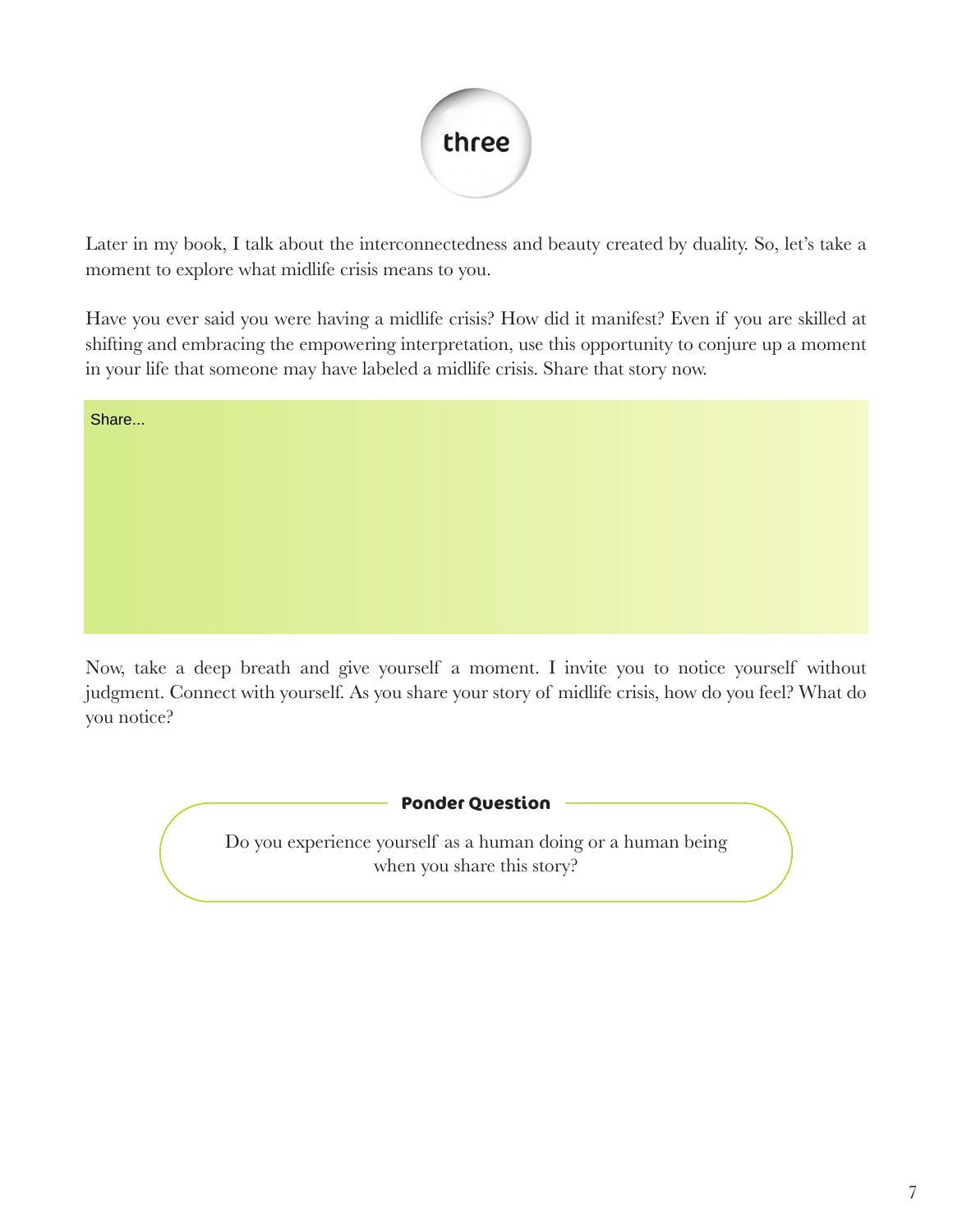

Later in my book, I talk about the interconnectedness and beauty created by duality. So, let's take a moment to explore what midlife crisis means to you.

Have you ever said you were having a midlife crisis? How did it manifest? Even if you are skilled at shifting and embracing the empowering interpretation, use this opportunity to conjure up a moment in your life that someone may have labeled a midlife crisis. Share that story now.

Share...

Now, take a deep breath and give yourself a moment. I invite you to notice yourself without judgment. Connect with yourself. As you share your story of midlife crisis, how do you feel? What do you notice?

**Ponder Question**

Do you experience yourself as a human doing or a human being when you share this story?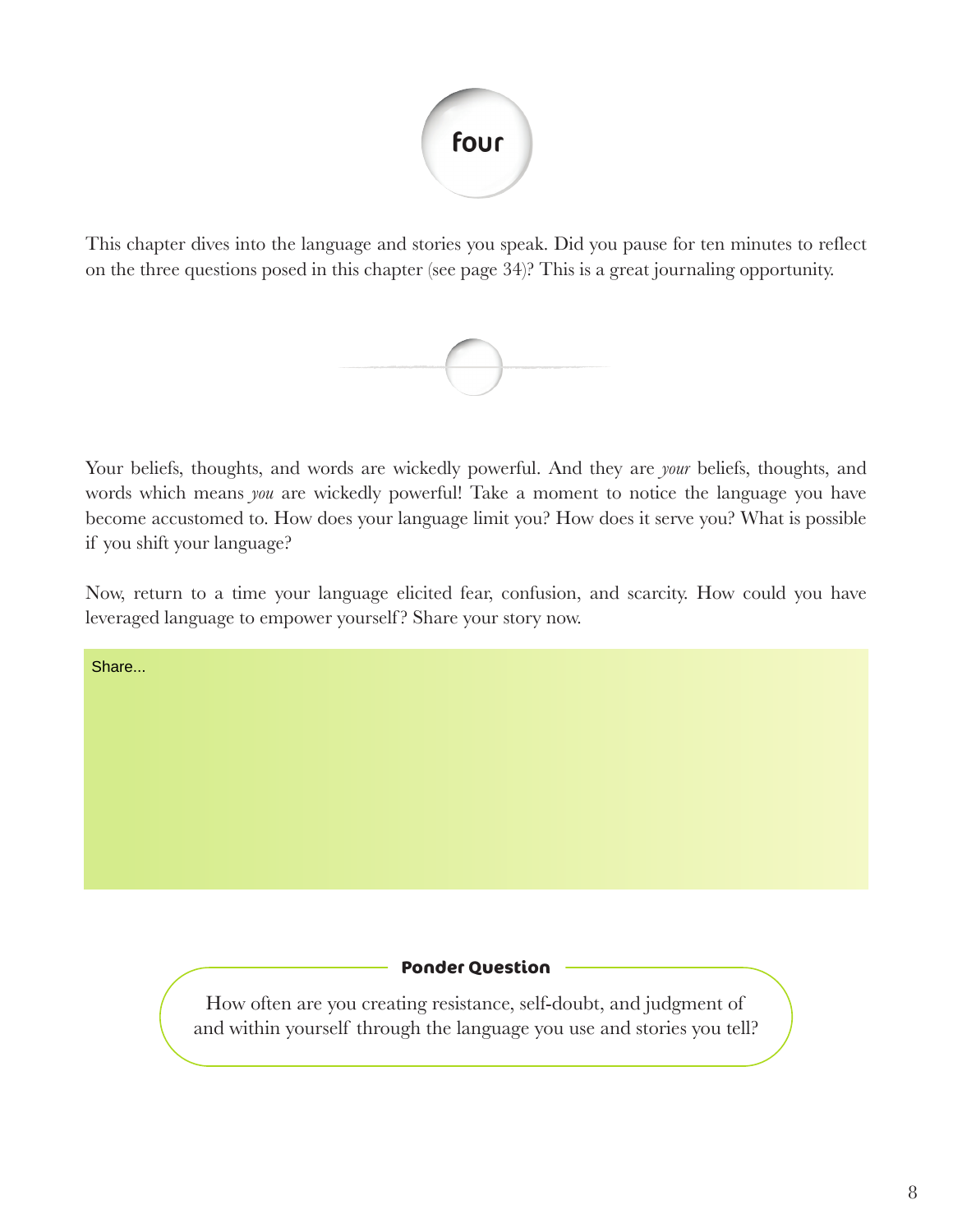

This chapter dives into the language and stories you speak. Did you pause for ten minutes to reflect on the three questions posed in this chapter (see page 34)? This is a great journaling opportunity.



Your beliefs, thoughts, and words are wickedly powerful. And they are *your* beliefs, thoughts, and words which means *you* are wickedly powerful! Take a moment to notice the language you have become accustomed to. How does your language limit you? How does it serve you? What is possible if you shift your language?

Now, return to a time your language elicited fear, confusion, and scarcity. How could you have leveraged language to empower yourself ? Share your story now.

Share...

#### **Ponder Question**

How often are you creating resistance, self-doubt, and judgment of and within yourself through the language you use and stories you tell?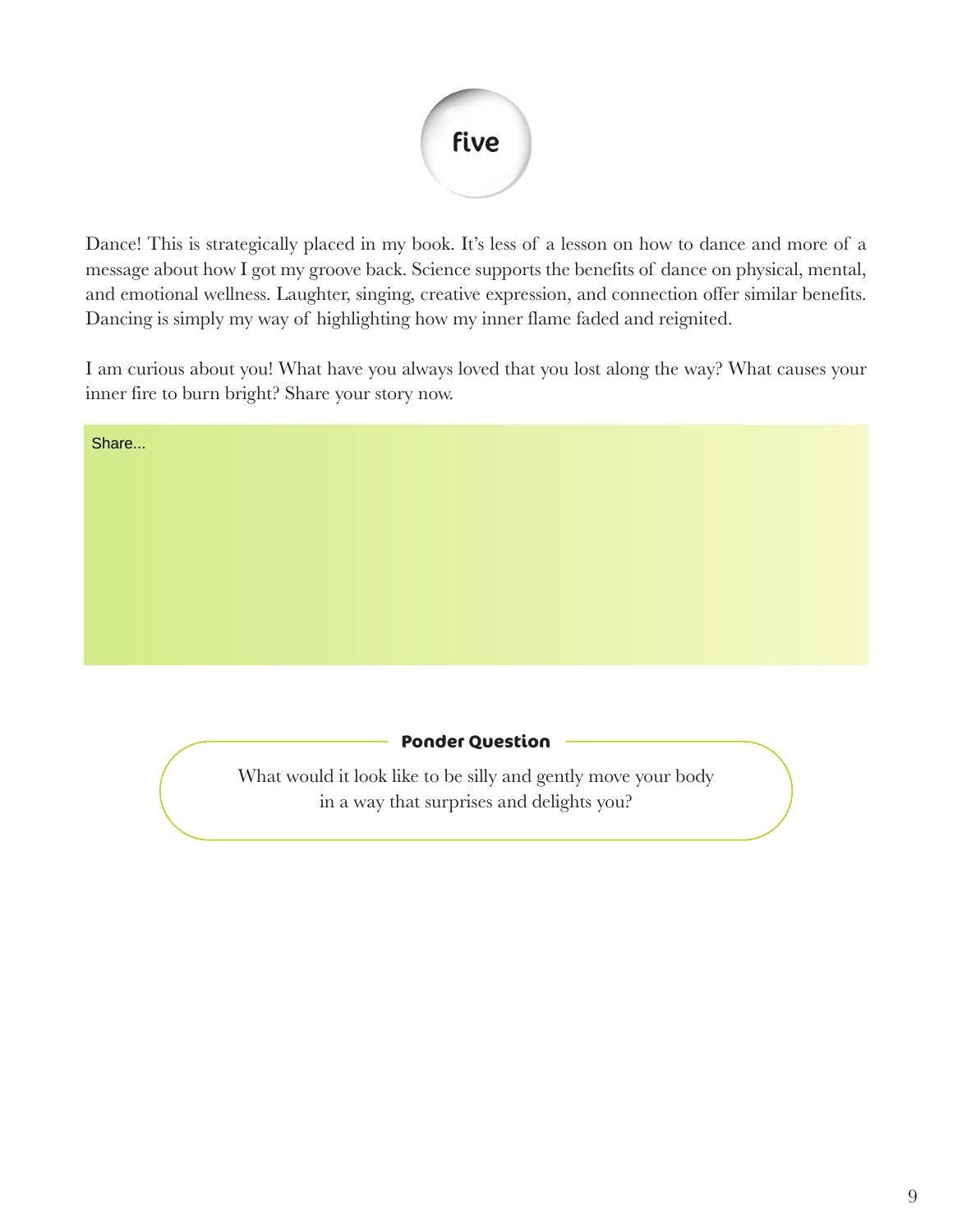

Dance! This is strategically placed in my book. It's less of a lesson on how to dance and more of a message about how I got my groove back. Science supports the benefits of dance on physical, mental, and emotional wellness. Laughter, singing, creative expression, and connection offer similar benefits. Dancing is simply my way of highlighting how my inner flame faded and reignited.

I am curious about you! What have you always loved that you lost along the way? What causes your inner fire to burn bright? Share your story now.

| <b>Ponder Question</b><br>What would it look like to be silly and gently move your body<br>in a way that surprises and delights you? |  |
|--------------------------------------------------------------------------------------------------------------------------------------|--|
|                                                                                                                                      |  |
|                                                                                                                                      |  |
|                                                                                                                                      |  |
|                                                                                                                                      |  |
|                                                                                                                                      |  |
|                                                                                                                                      |  |
|                                                                                                                                      |  |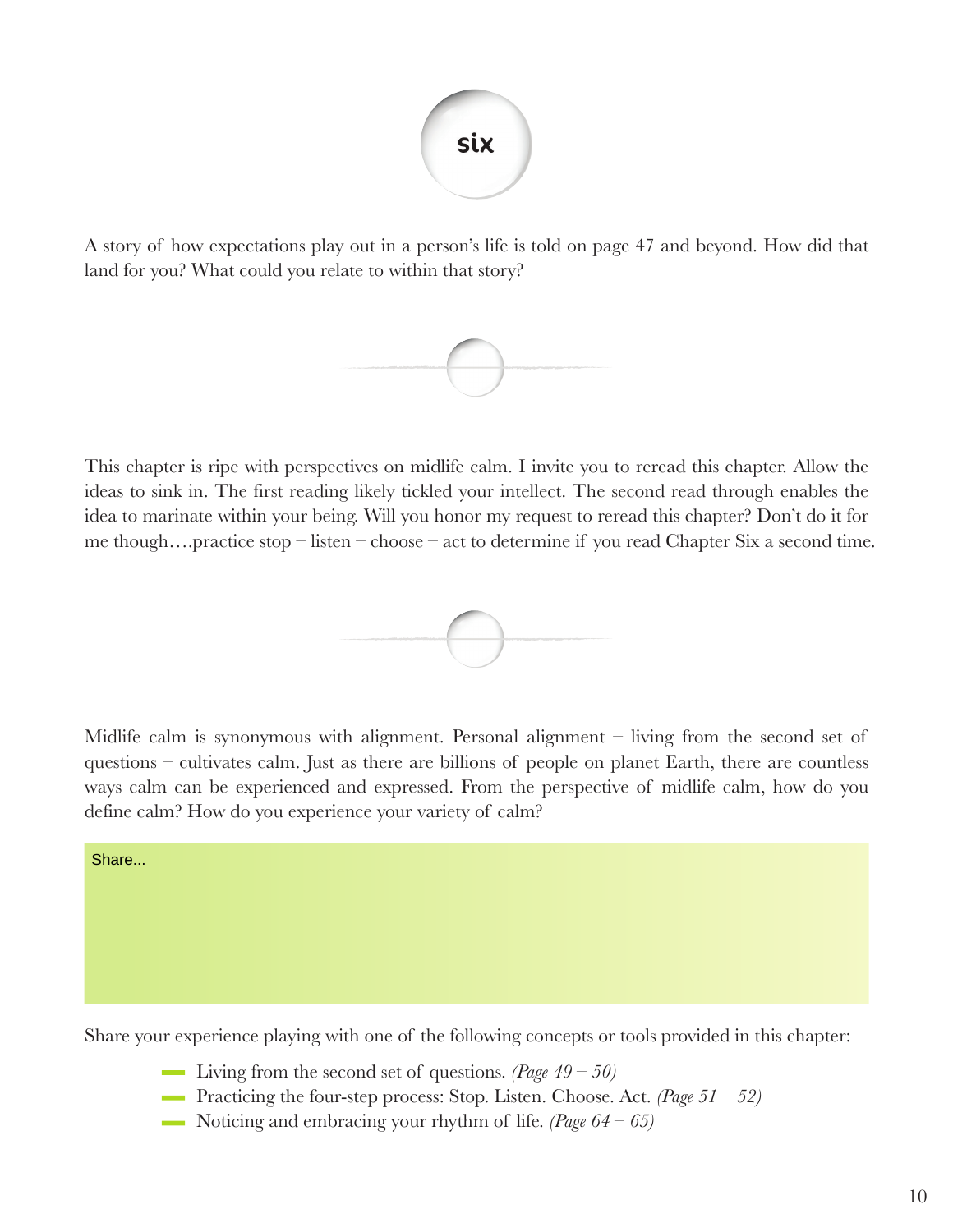

A story of how expectations play out in a person's life is told on page 47 and beyond. How did that land for you? What could you relate to within that story?



This chapter is ripe with perspectives on midlife calm. I invite you to reread this chapter. Allow the ideas to sink in. The first reading likely tickled your intellect. The second read through enables the idea to marinate within your being. Will you honor my request to reread this chapter? Don't do it for me though….practice stop – listen – choose – act to determine if you read Chapter Six a second time.



Midlife calm is synonymous with alignment. Personal alignment – living from the second set of questions – cultivates calm. Just as there are billions of people on planet Earth, there are countless ways calm can be experienced and expressed. From the perspective of midlife calm, how do you define calm? How do you experience your variety of calm?

Share...

Share your experience playing with one of the following concepts or tools provided in this chapter:

- Living from the second set of questions. *(Page 49 50)*
- Practicing the four-step process: Stop. Listen. Choose. Act. *(Page 51 52)*
- Noticing and embracing your rhythm of life. *(Page 64 65)*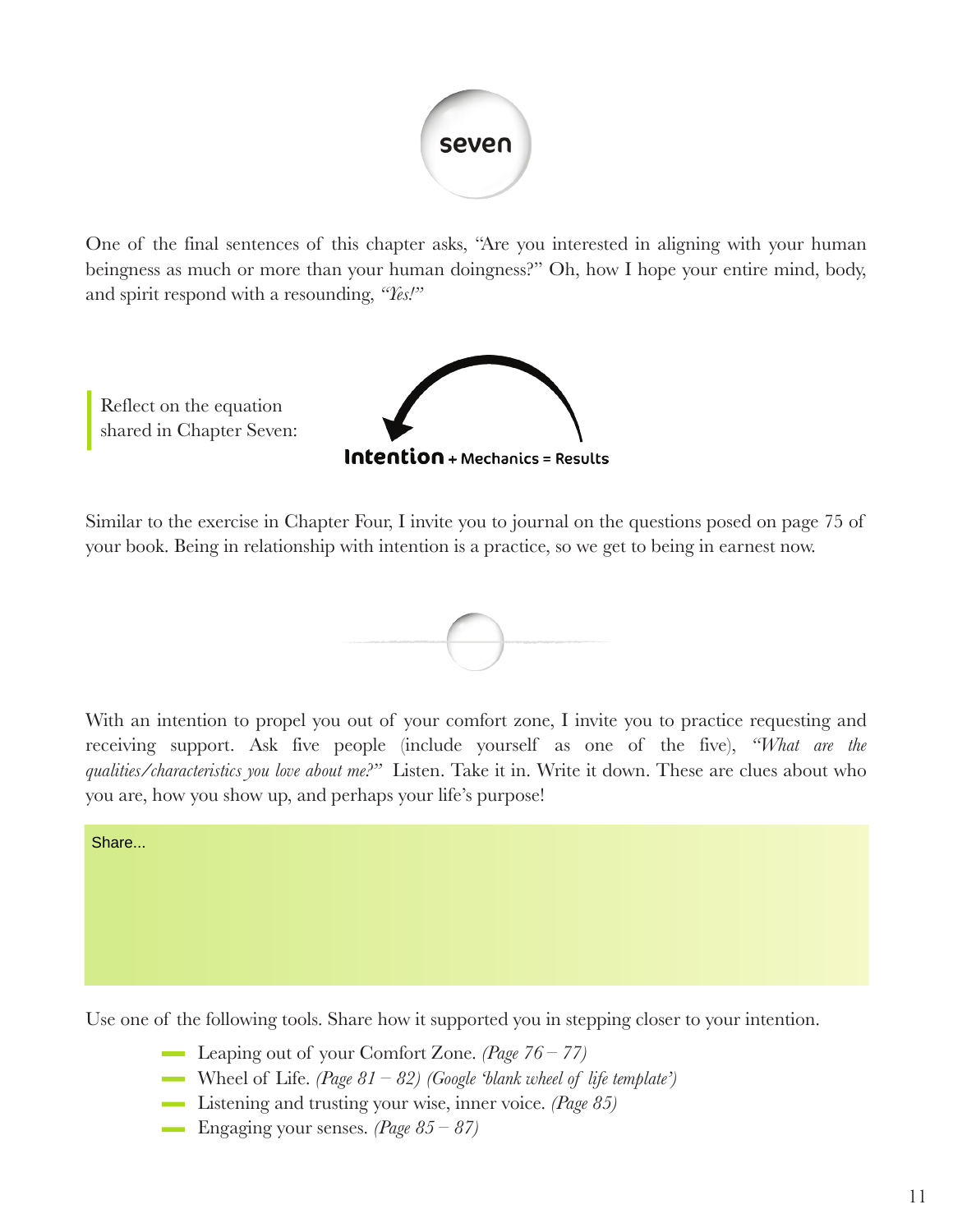

One of the final sentences of this chapter asks, "Are you interested in aligning with your human beingness as much or more than your human doingness?" Oh, how I hope your entire mind, body, and spirit respond with a resounding, *"Yes!"* 

Reflect on the equation shared in Chapter Seven:



Similar to the exercise in Chapter Four, I invite you to journal on the questions posed on page 75 of your book. Being in relationship with intention is a practice, so we get to being in earnest now.



With an intention to propel you out of your comfort zone, I invite you to practice requesting and receiving support. Ask five people (include yourself as one of the five), *"What are the qualities/characteristics you love about me?"* Listen. Take it in. Write it down. These are clues about who you are, how you show up, and perhaps your life's purpose!

Share...

Use one of the following tools. Share how it supported you in stepping closer to your intention.

- Leaping out of your Comfort Zone. *(Page 76 77)*
- Wheel of Life. *(Page 81 82) (Google 'blank wheel of life template')*
- Listening and trusting your wise, inner voice. *(Page 85)*
- Engaging your senses. *(Page 85 87)*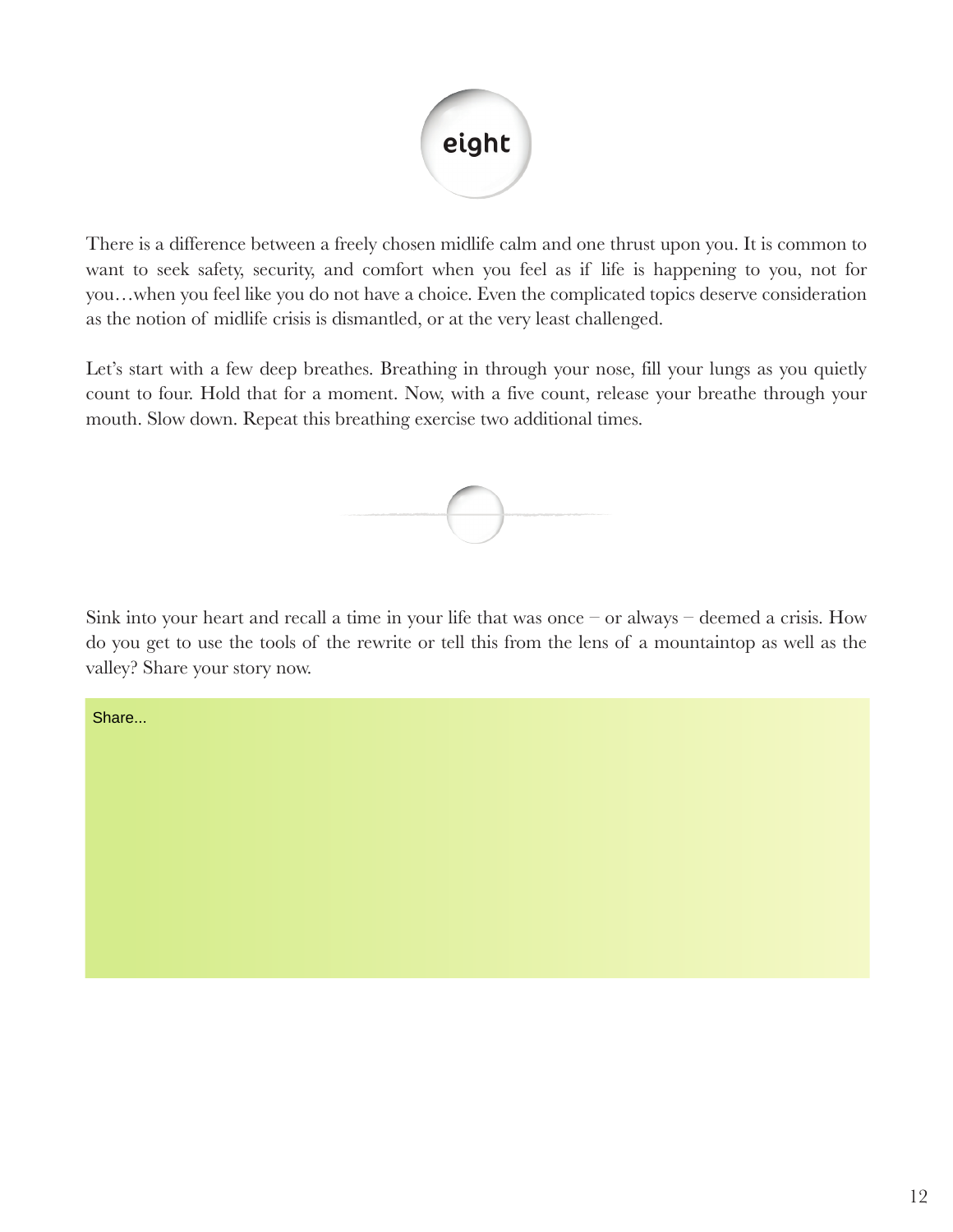

There is a difference between a freely chosen midlife calm and one thrust upon you. It is common to want to seek safety, security, and comfort when you feel as if life is happening to you, not for you…when you feel like you do not have a choice. Even the complicated topics deserve consideration as the notion of midlife crisis is dismantled, or at the very least challenged.

Let's start with a few deep breathes. Breathing in through your nose, fill your lungs as you quietly count to four. Hold that for a moment. Now, with a five count, release your breathe through your mouth. Slow down. Repeat this breathing exercise two additional times.



Sink into your heart and recall a time in your life that was once – or always – deemed a crisis. How do you get to use the tools of the rewrite or tell this from the lens of a mountaintop as well as the valley? Share your story now.

Share...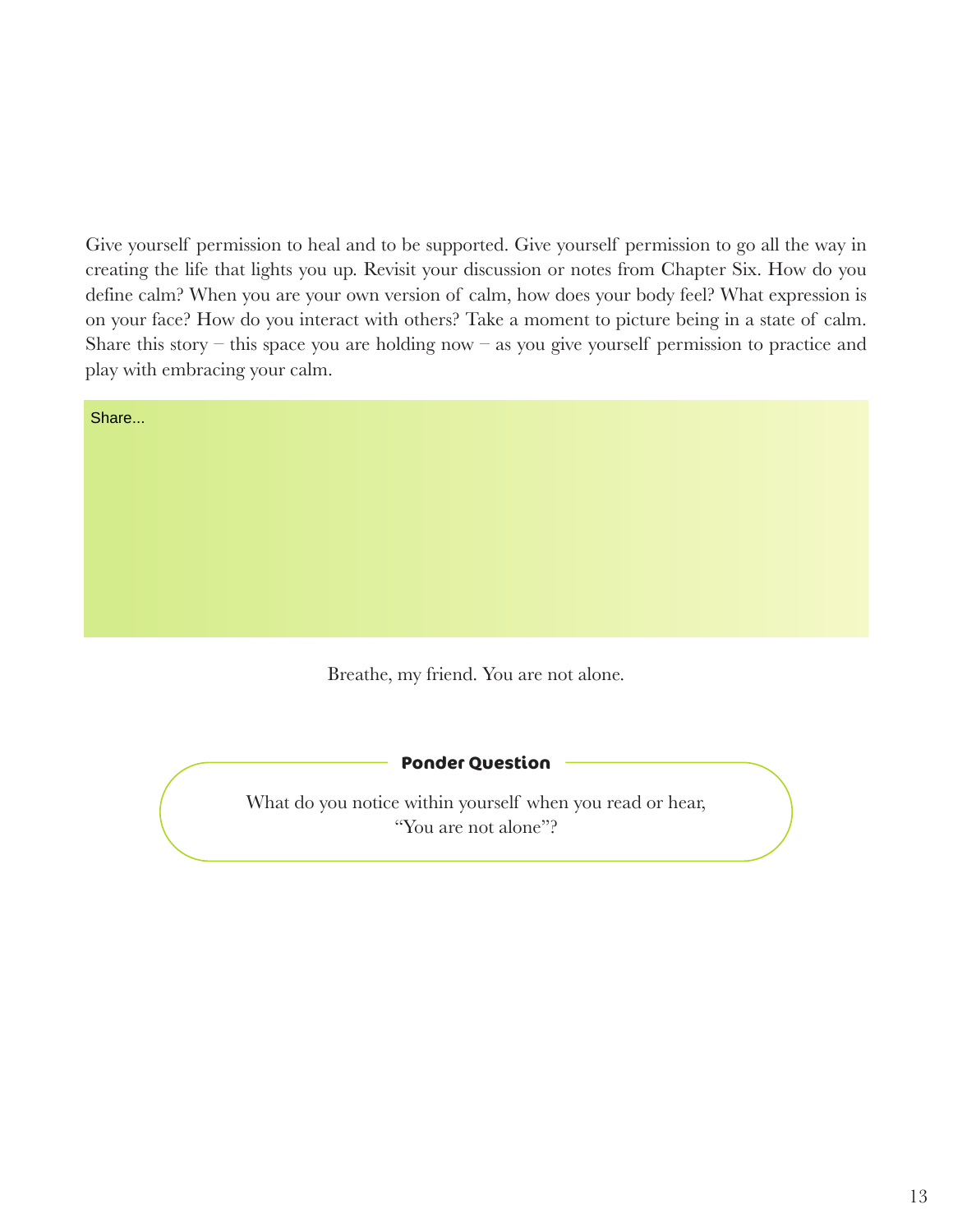Give yourself permission to heal and to be supported. Give yourself permission to go all the way in creating the life that lights you up. Revisit your discussion or notes from Chapter Six. How do you define calm? When you are your own version of calm, how does your body feel? What expression is on your face? How do you interact with others? Take a moment to picture being in a state of calm. Share this story – this space you are holding now – as you give yourself permission to practice and play with embracing your calm.

| Share |                                                                   |  |
|-------|-------------------------------------------------------------------|--|
|       |                                                                   |  |
|       |                                                                   |  |
|       |                                                                   |  |
|       |                                                                   |  |
|       |                                                                   |  |
|       |                                                                   |  |
|       | $\sim$ $\sim$ $\sim$ $\sim$ $\sim$<br>$\sim$ $\sim$ $\sim$ $\sim$ |  |

Breathe, my friend. You are not alone.

#### **Ponder Question**

What do you notice within yourself when you read or hear, "You are not alone"?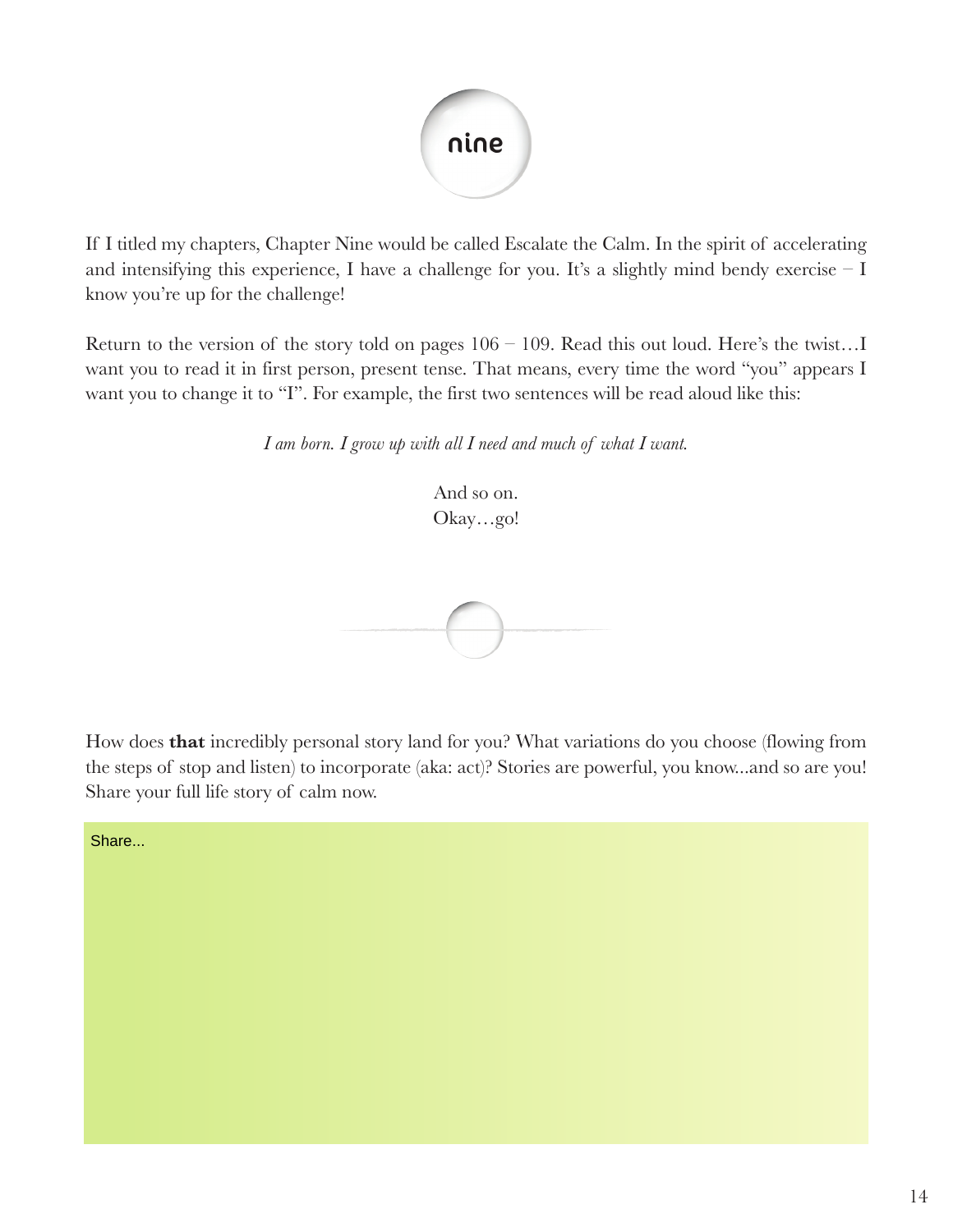

If I titled my chapters, Chapter Nine would be called Escalate the Calm. In the spirit of accelerating and intensifying this experience, I have a challenge for you. It's a slightly mind bendy exercise  $-I$ know you're up for the challenge!

Return to the version of the story told on pages  $106 - 109$ . Read this out loud. Here's the twist...I want you to read it in first person, present tense. That means, every time the word "you" appears I want you to change it to "I". For example, the first two sentences will be read aloud like this:

*I am born. I grow up with all I need and much of what I want.*

And so on. Okay…go!

How does **that** incredibly personal story land for you? What variations do you choose (flowing from the steps of stop and listen) to incorporate (aka: act)? Stories are powerful, you know...and so are you! Share your full life story of calm now.

Share...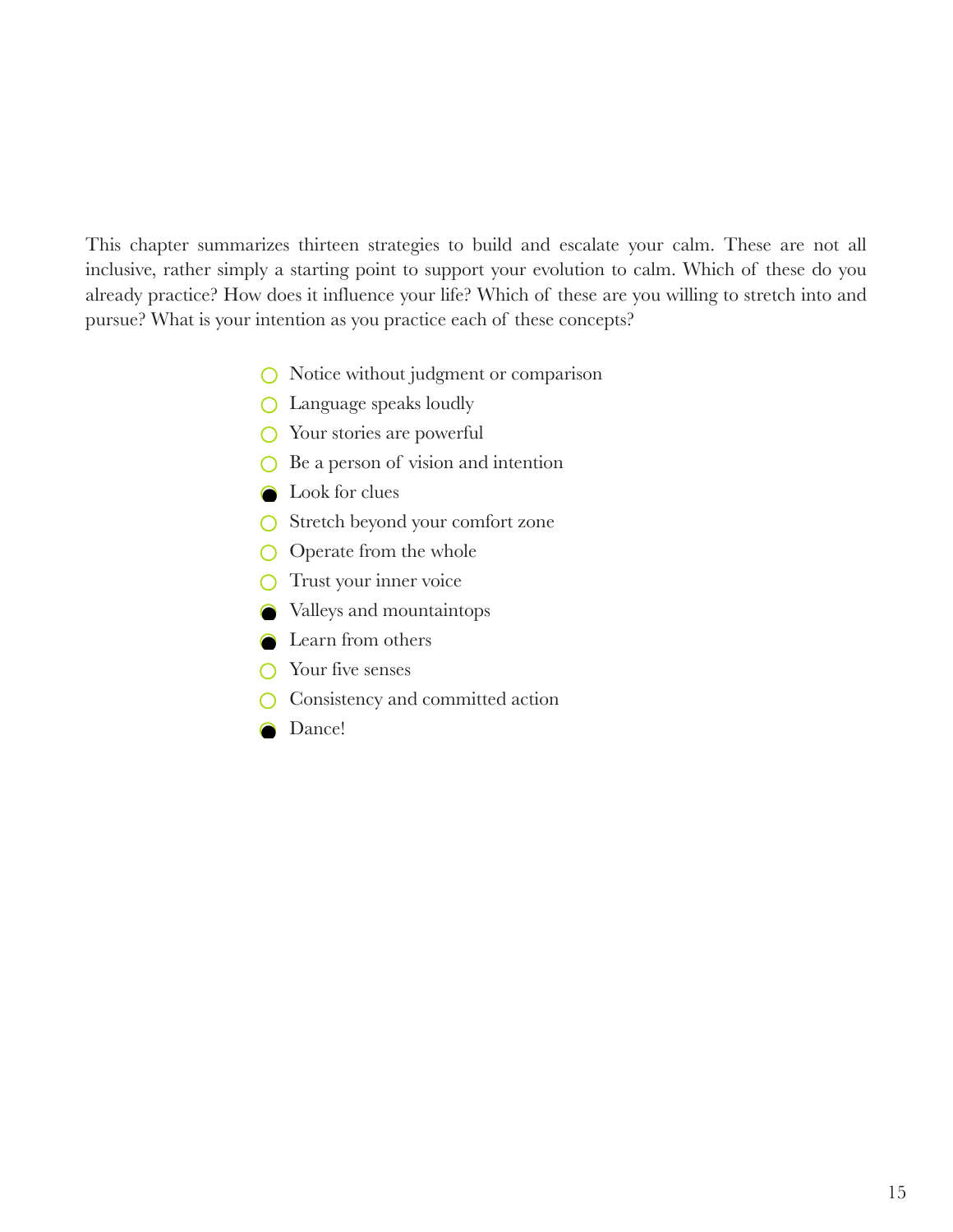This chapter summarizes thirteen strategies to build and escalate your calm. These are not all inclusive, rather simply a starting point to support your evolution to calm. Which of these do you already practice? How does it influence your life? Which of these are you willing to stretch into and pursue? What is your intention as you practice each of these concepts?

- $\bigcirc$  Notice without judgment or comparison
- **C** Language speaks loudly
- $\bigcirc$  Your stories are powerful
- $\bigcirc$  Be a person of vision and intention
- **Q** Look for clues
- Stretch beyond your comfort zone
- $\bigcirc$  Operate from the whole
- $\bigcirc$  Trust your inner voice
- Valleys and mountaintops
- **C** Learn from others
- $\bigcap$  Your five senses
- Consistency and committed action  $\bigcirc$
- **O** Dance!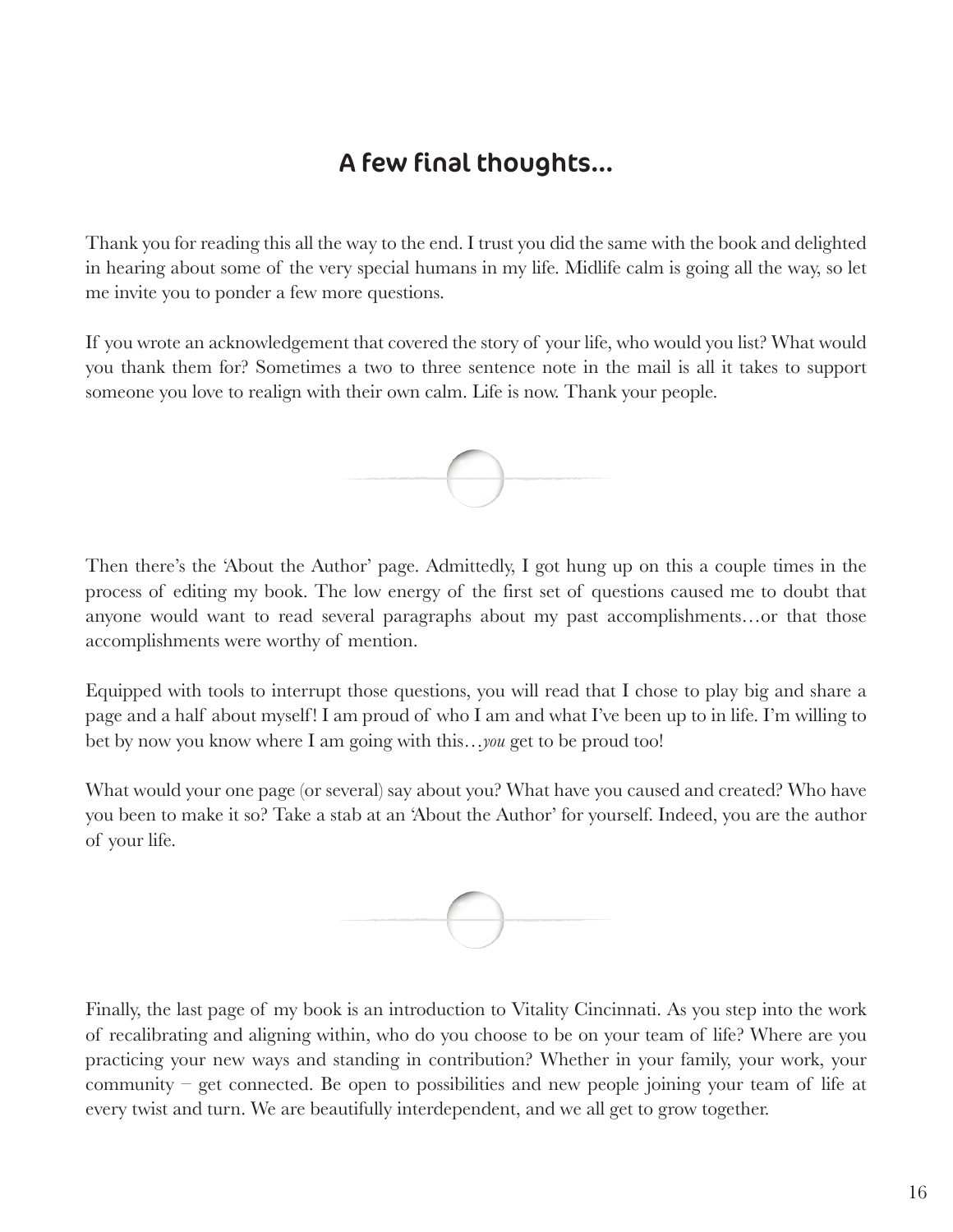## A few final thoughts...

Thank you for reading this all the way to the end. I trust you did the same with the book and delighted in hearing about some of the very special humans in my life. Midlife calm is going all the way, so let me invite you to ponder a few more questions.

If you wrote an acknowledgement that covered the story of your life, who would you list? What would you thank them for? Sometimes a two to three sentence note in the mail is all it takes to support someone you love to realign with their own calm. Life is now. Thank your people.



Then there's the 'About the Author' page. Admittedly, I got hung up on this a couple times in the process of editing my book. The low energy of the first set of questions caused me to doubt that anyone would want to read several paragraphs about my past accomplishments…or that those accomplishments were worthy of mention.

Equipped with tools to interrupt those questions, you will read that I chose to play big and share a page and a half about myself! I am proud of who I am and what I've been up to in life. I'm willing to bet by now you know where I am going with this…*you* get to be proud too!

What would your one page (or several) say about you? What have you caused and created? Who have you been to make it so? Take a stab at an 'About the Author' for yourself. Indeed, you are the author of your life.



Finally, the last page of my book is an introduction to Vitality Cincinnati. As you step into the work of recalibrating and aligning within, who do you choose to be on your team of life? Where are you practicing your new ways and standing in contribution? Whether in your family, your work, your community – get connected. Be open to possibilities and new people joining your team of life at every twist and turn. We are beautifully interdependent, and we all get to grow together.